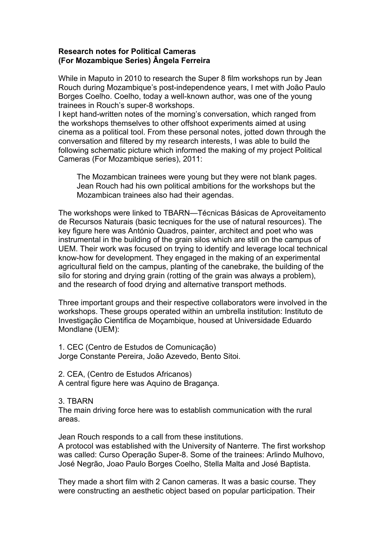## **Research notes for Political Cameras (For Mozambique Series) Ângela Ferreira**

While in Maputo in 2010 to research the Super 8 film workshops run by Jean Rouch during Mozambique's post-independence years, I met with João Paulo Borges Coelho. Coelho, today a well-known author, was one of the young trainees in Rouch's super-8 workshops.

I kept hand-written notes of the morning's conversation, which ranged from the workshops themselves to other offshoot experiments aimed at using cinema as a political tool. From these personal notes, jotted down through the conversation and filtered by my research interests, I was able to build the following schematic picture which informed the making of my project Political Cameras (For Mozambique series), 2011:

The Mozambican trainees were young but they were not blank pages. Jean Rouch had his own political ambitions for the workshops but the Mozambican trainees also had their agendas.

The workshops were linked to TBARN—Técnicas Básicas de Aproveitamento de Recursos Naturais (basic tecniques for the use of natural resources). The key figure here was António Quadros, painter, architect and poet who was instrumental in the building of the grain silos which are still on the campus of UEM. Their work was focused on trying to identify and leverage local technical know-how for development. They engaged in the making of an experimental agricultural field on the campus, planting of the canebrake, the building of the silo for storing and drying grain (rotting of the grain was always a problem), and the research of food drying and alternative transport methods.

Three important groups and their respective collaborators were involved in the workshops. These groups operated within an umbrella institution: Instituto de Investigação Cientifica de Moçambique, housed at Universidade Eduardo Mondlane (UEM):

1. CEC (Centro de Estudos de Comunicação) Jorge Constante Pereira, João Azevedo, Bento Sitoi.

2. CEA, (Centro de Estudos Africanos) A central figure here was Aquino de Bragança.

## 3. TBARN

The main driving force here was to establish communication with the rural areas.

Jean Rouch responds to a call from these institutions.

A protocol was established with the University of Nanterre. The first workshop was called: Curso Operação Super-8. Some of the trainees: Arlindo Mulhovo, José Negrão, Joao Paulo Borges Coelho, Stella Malta and José Baptista.

They made a short film with 2 Canon cameras. It was a basic course. They were constructing an aesthetic object based on popular participation. Their